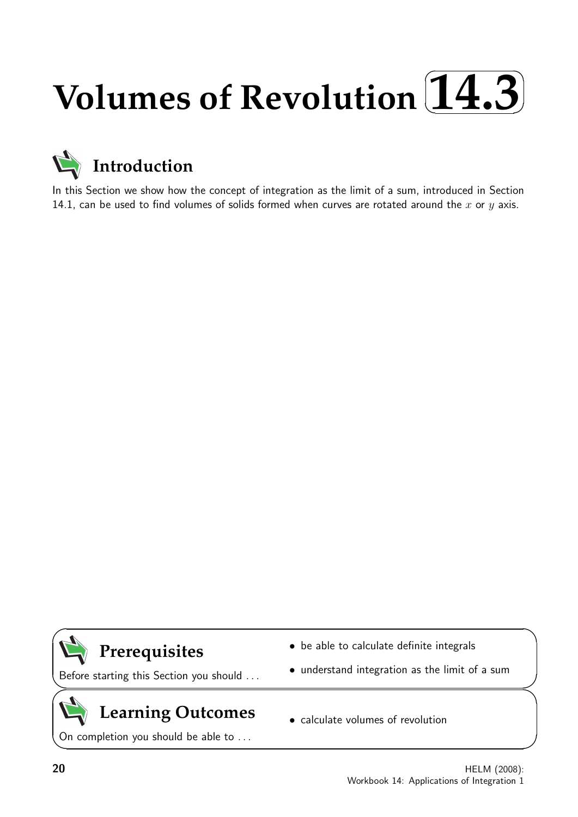## **Volumes of Revolution**  $\sqrt{2}$ ✒ **14.3**✑ ✏



In this Section we show how the concept of integration as the limit of a sum, introduced in Section 14.1, can be used to find volumes of solids formed when curves are rotated around the  $x$  or  $y$  axis.



Before starting this Section you should . . .

# **Learning Outcomes**

On completion you should be able to ...

- be able to calculate definite integrals
- understand integration as the limit of a sum
- calculate volumes of revolution

 $\overline{\phantom{0}}$ 

 $\geq$ 

 $\geq$ 

 $\overline{\phantom{0}}$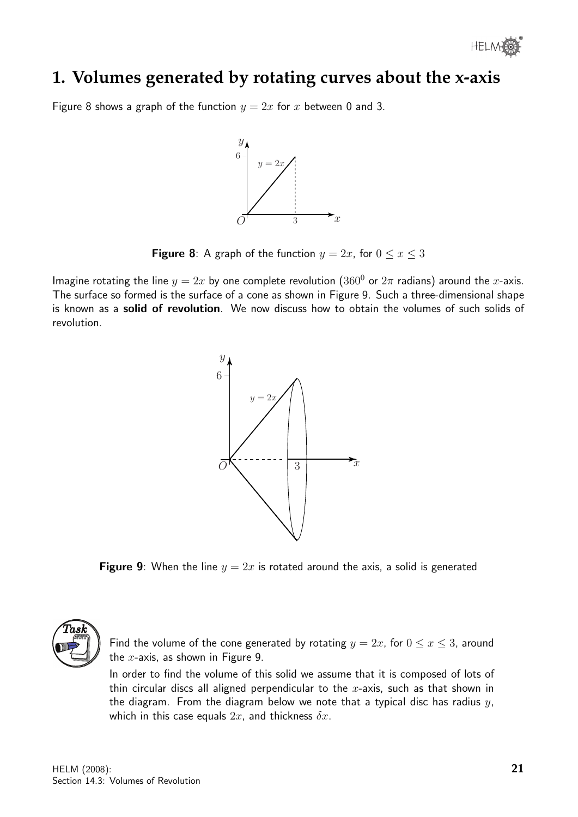## **1. Volumes generated by rotating curves about the x-axis**

Figure 8 shows a graph of the function  $y = 2x$  for x between 0 and 3.



**Figure 8**: A graph of the function  $y = 2x$ , for  $0 \le x \le 3$ 

Imagine rotating the line  $y = 2x$  by one complete revolution (360<sup>0</sup> or  $2\pi$  radians) around the x-axis. The surface so formed is the surface of a cone as shown in Figure 9. Such a three-dimensional shape is known as a solid of revolution. We now discuss how to obtain the volumes of such solids of revolution.



**Figure 9:** When the line  $y = 2x$  is rotated around the axis, a solid is generated



Find the volume of the cone generated by rotating  $y = 2x$ , for  $0 \le x \le 3$ , around the  $x$ -axis, as shown in Figure 9.

In order to find the volume of this solid we assume that it is composed of lots of thin circular discs all aligned perpendicular to the  $x$ -axis, such as that shown in the diagram. From the diagram below we note that a typical disc has radius  $y$ , which in this case equals  $2x$ , and thickness  $\delta x$ .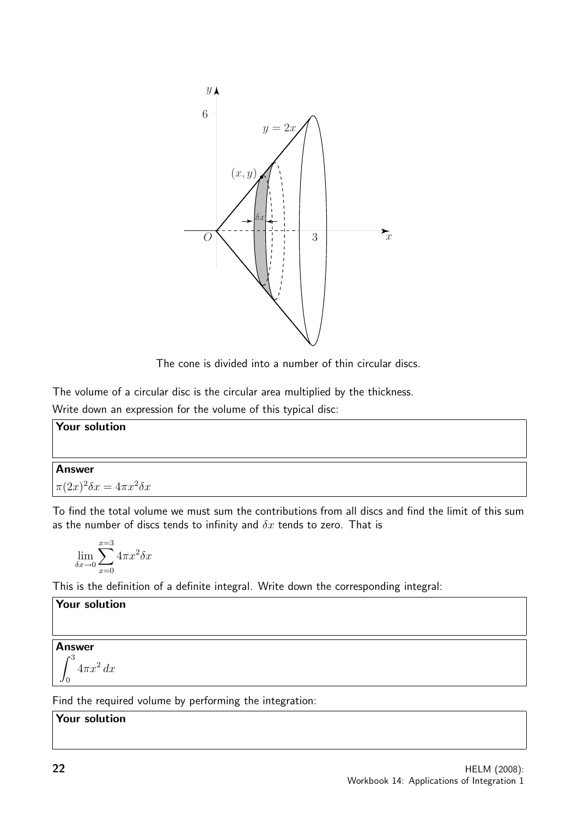

The cone is divided into a number of thin circular discs.

The volume of a circular disc is the circular area multiplied by the thickness.

Write down an expression for the volume of this typical disc:

**Your solution**  
**Answer**  

$$
\pi(2x)^2 \delta x = 4\pi x^2 \delta x
$$

To find the total volume we must sum the contributions from all discs and find the limit of this sum as the number of discs tends to infinity and  $\delta x$  tends to zero. That is

$$
\lim_{\delta x \to 0} \sum_{x=0}^{x=3} 4\pi x^2 \delta x
$$

This is the definition of a definite integral. Write down the corresponding integral:

Your solution

Answer

 $\int_0^3$ 0  $4\pi x^2 dx$ 

Find the required volume by performing the integration:

Your solution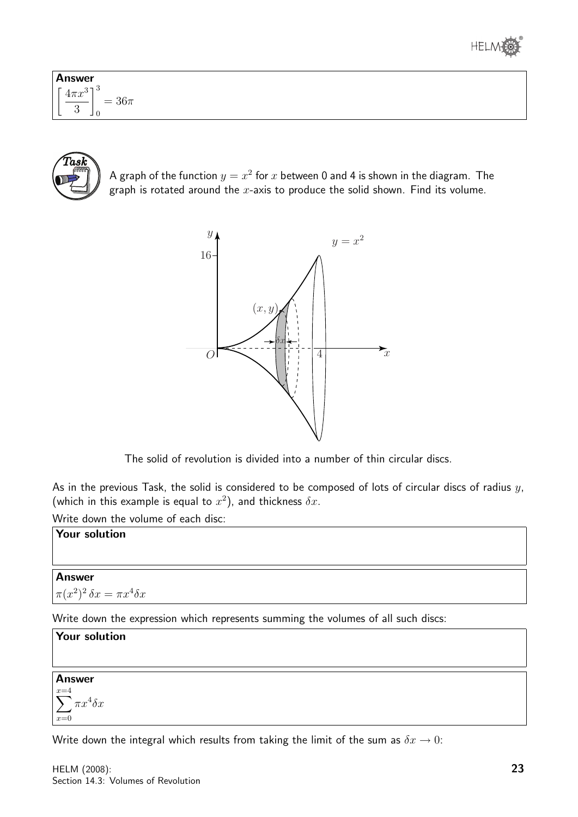

| <b>Answer</b>                                                      |  |
|--------------------------------------------------------------------|--|
| 2 J B<br>г.<br>$4\pi x^3$<br>$=36\pi$<br>$\Omega$<br>◡<br>⊐ ∪<br>╺ |  |



A graph of the function  $y=x^2$  for  $x$  between 0 and 4 is shown in the diagram. The graph is rotated around the  $x$ -axis to produce the solid shown. Find its volume.



The solid of revolution is divided into a number of thin circular discs.

As in the previous Task, the solid is considered to be composed of lots of circular discs of radius  $y$ , (which in this example is equal to  $x^2$ ), and thickness  $\delta x$ .

Write down the volume of each disc:

#### Your solution

## Answer  $\pi(x^2)^2 \, \delta x = \pi x^4 \delta x$

Write down the expression which represents summing the volumes of all such discs:

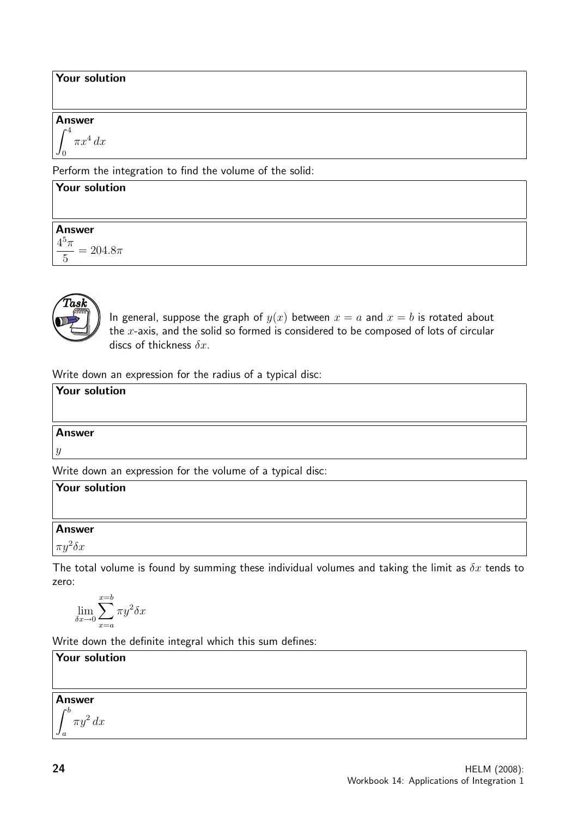#### Your solution

#### Answer

$$
\int_0^4 \pi x^4 \, dx
$$

Perform the integration to find the volume of the solid:

## Your solution Answer  $4^5\pi$  $\overline{5}$  $= 204.8\pi$



In general, suppose the graph of  $y(x)$  between  $x = a$  and  $x = b$  is rotated about the  $x$ -axis, and the solid so formed is considered to be composed of lots of circular discs of thickness  $\delta x$ .

Write down an expression for the radius of a typical disc:

## Your solution Answer y

Write down an expression for the volume of a typical disc:

| Your solution      |  |  |
|--------------------|--|--|
|                    |  |  |
| <b>Answer</b>      |  |  |
| $\pi y^2 \delta x$ |  |  |
|                    |  |  |

The total volume is found by summing these individual volumes and taking the limit as  $\delta x$  tends to zero:

$$
\lim_{\delta x \to 0} \sum_{x=a}^{x=b} \pi y^2 \delta x
$$

Write down the definite integral which this sum defines:

Your solution

## Answer

 $\int^b$ a  $\pi y^2 dx$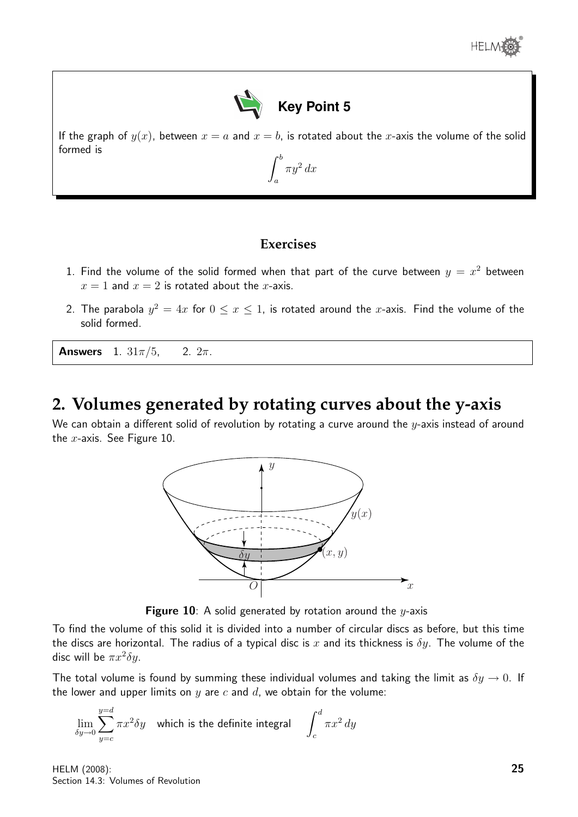



If the graph of  $y(x)$ , between  $x = a$  and  $x = b$ , is rotated about the x-axis the volume of the solid formed is  $\int^b$ 

 $\pi y^2 dx$ 

a

## **Exercises**

- 1. Find the volume of the solid formed when that part of the curve between  $y = x^2$  between  $x = 1$  and  $x = 2$  is rotated about the *x*-axis.
- 2. The parabola  $y^2=4x$  for  $0\leq x\leq 1$ , is rotated around the x-axis. Find the volume of the solid formed.

**Answers** 1.  $31\pi/5$ , 2.  $2\pi$ .

## **2. Volumes generated by rotating curves about the y-axis**

We can obtain a different solid of revolution by rotating a curve around the  $y$ -axis instead of around the  $x$ -axis. See Figure 10.



Figure 10: A solid generated by rotation around the  $y$ -axis

To find the volume of this solid it is divided into a number of circular discs as before, but this time the discs are horizontal. The radius of a typical disc is x and its thickness is  $\delta y$ . The volume of the disc will be  $\pi x^2 \delta y$ .

The total volume is found by summing these individual volumes and taking the limit as  $\delta y \to 0$ . If the lower and upper limits on y are c and d, we obtain for the volume:

$$
\lim_{\delta y \to 0} \sum_{y=c}^{y=d} \pi x^2 \delta y
$$
 which is the definite integral  $\int_c^d \pi x^2 dy$ 

HELM (2008): Section 14.3: Volumes of Revolution